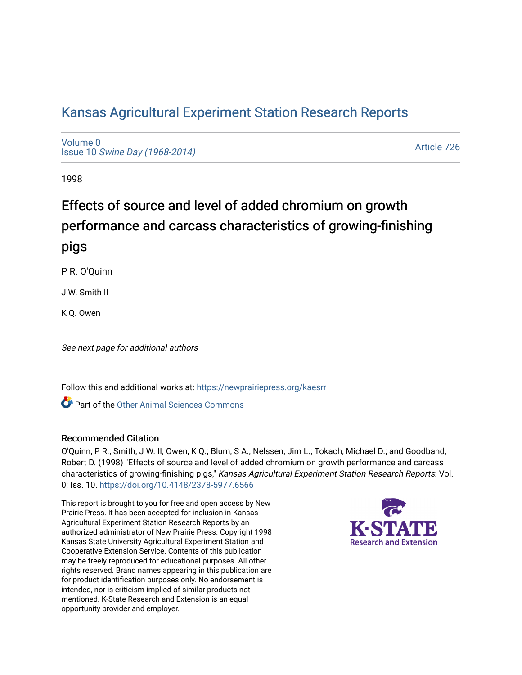# [Kansas Agricultural Experiment Station Research Reports](https://newprairiepress.org/kaesrr)

[Volume 0](https://newprairiepress.org/kaesrr/vol0) Issue 10 [Swine Day \(1968-2014\)](https://newprairiepress.org/kaesrr/vol0/iss10)

[Article 726](https://newprairiepress.org/kaesrr/vol0/iss10/726) 

1998

# Effects of source and level of added chromium on growth performance and carcass characteristics of growing-finishing pigs

P R. O'Quinn

J W. Smith II

K Q. Owen

See next page for additional authors

Follow this and additional works at: [https://newprairiepress.org/kaesrr](https://newprairiepress.org/kaesrr?utm_source=newprairiepress.org%2Fkaesrr%2Fvol0%2Fiss10%2F726&utm_medium=PDF&utm_campaign=PDFCoverPages) 

Part of the [Other Animal Sciences Commons](http://network.bepress.com/hgg/discipline/82?utm_source=newprairiepress.org%2Fkaesrr%2Fvol0%2Fiss10%2F726&utm_medium=PDF&utm_campaign=PDFCoverPages)

#### Recommended Citation

O'Quinn, P R.; Smith, J W. II; Owen, K Q.; Blum, S A.; Nelssen, Jim L.; Tokach, Michael D.; and Goodband, Robert D. (1998) "Effects of source and level of added chromium on growth performance and carcass characteristics of growing-finishing pigs," Kansas Agricultural Experiment Station Research Reports: Vol. 0: Iss. 10. <https://doi.org/10.4148/2378-5977.6566>

This report is brought to you for free and open access by New Prairie Press. It has been accepted for inclusion in Kansas Agricultural Experiment Station Research Reports by an authorized administrator of New Prairie Press. Copyright 1998 Kansas State University Agricultural Experiment Station and Cooperative Extension Service. Contents of this publication may be freely reproduced for educational purposes. All other rights reserved. Brand names appearing in this publication are for product identification purposes only. No endorsement is intended, nor is criticism implied of similar products not mentioned. K-State Research and Extension is an equal opportunity provider and employer.

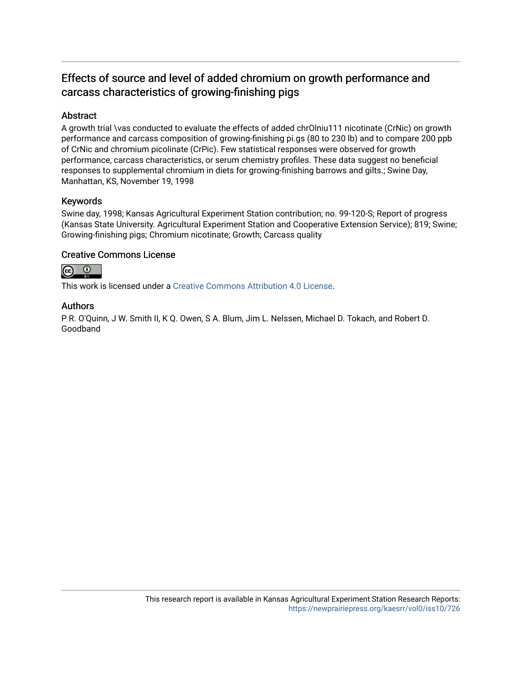# Effects of source and level of added chromium on growth performance and carcass characteristics of growing-finishing pigs

# Abstract

A growth trial \vas conducted to evaluate the effects of added chrOlniu111 nicotinate (CrNic) on growth performance and carcass composition of growing-finishing pi.gs (80 to 230 lb) and to compare 200 ppb of CrNic and chromium picolinate (CrPic). Few statistical responses were observed for growth performance, carcass characteristics, or serum chemistry profiles. These data suggest no beneficial responses to supplemental chromium in diets for growing-finishing barrows and gilts.; Swine Day, Manhattan, KS, November 19, 1998

## Keywords

Swine day, 1998; Kansas Agricultural Experiment Station contribution; no. 99-120-S; Report of progress (Kansas State University. Agricultural Experiment Station and Cooperative Extension Service); 819; Swine; Growing-finishing pigs; Chromium nicotinate; Growth; Carcass quality

## Creative Commons License



This work is licensed under a [Creative Commons Attribution 4.0 License](https://creativecommons.org/licenses/by/4.0/).

## Authors

P R. O'Quinn, J W. Smith II, K Q. Owen, S A. Blum, Jim L. Nelssen, Michael D. Tokach, and Robert D. Goodband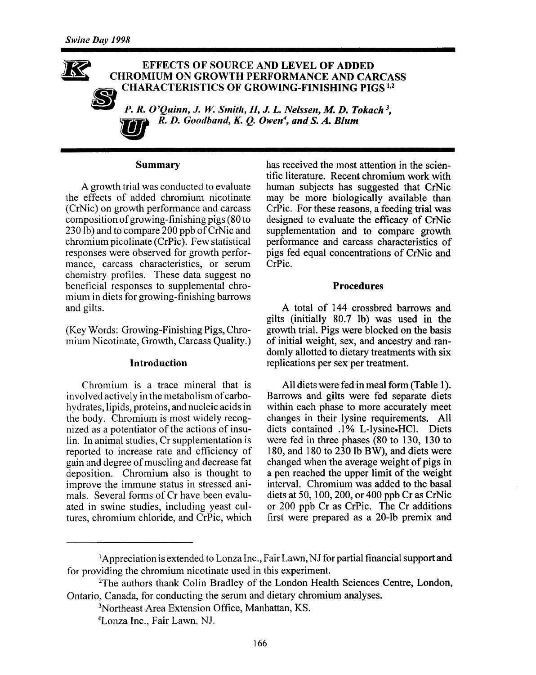#### **EFFECTS OF SOURCE AND LEVEL OF ADDED CHROMIUM ON GROWTH PERFORMANCE AND CARCASS CHARACTERISTICS OF GROWING-FINISHING PIGS<sup>1,2</sup>**

P. R. O'Quinn, J. W. Smith, II, J. L. Nelssen, M. D. Tokach<sup>3</sup>. R. D. Goodband, K. O. Owen<sup>4</sup>, and S. A. Blum

#### **Summary**

A growth trial was conducted to evaluate the effects of added chromium nicotinate (CrNic) on growth performance and carcass composition of growing-finishing pigs (80 to 230 lb) and to compare 200 ppb of CrNic and chromium picolinate (CrPic). Few statistical responses were observed for growth performance, carcass characteristics, or serum chemistry profiles. These data suggest no beneficial responses to supplemental chromium in diets for growing-finishing barrows and gilts.

(Key Words: Growing-Finishing Pigs, Chromium Nicotinate, Growth, Carcass Quality.)

#### Introduction

Chromium is a trace mineral that is involved actively in the metabolism of carbohydrates, lipids, proteins, and nucleic acids in the body. Chromium is most widely recognized as a potentiator of the actions of insulin. In animal studies, Cr supplementation is reported to increase rate and efficiency of gain and degree of muscling and decrease fat deposition. Chromium also is thought to improve the immune status in stressed animals. Several forms of Cr have been evaluated in swine studies, including yeast cultures, chromium chloride, and CrPic, which

has received the most attention in the scientific literature. Recent chromium work with human subjects has suggested that CrNic may be more biologically available than CrPic. For these reasons, a feeding trial was designed to evaluate the efficacy of CrNic supplementation and to compare growth performance and carcass characteristics of pigs fed equal concentrations of CrNic and CrPic.

#### **Procedures**

A total of 144 crossbred barrows and gilts (initially 80.7 lb) was used in the growth trial. Pigs were blocked on the basis of initial weight, sex, and ancestry and randomly allotted to dietary treatments with six replications per sex per treatment.

All diets were fed in meal form (Table 1). Barrows and gilts were fed separate diets within each phase to more accurately meet changes in their lysine requirements. All diets contained .1% L-lysine-HCl. Diets were fed in three phases (80 to 130, 130 to 180, and 180 to 230 lb BW), and diets were changed when the average weight of pigs in a pen reached the upper limit of the weight interval. Chromium was added to the basal diets at 50, 100, 200, or 400 ppb  $Cr$  as CrNic or 200 ppb Cr as CrPic. The Cr additions first were prepared as a 20-lb premix and

<sup>&</sup>lt;sup>1</sup>Appreciation is extended to Lonza Inc., Fair Lawn, NJ for partial financial support and for providing the chromium nicotinate used in this experiment.

<sup>&</sup>lt;sup>2</sup>The authors thank Colin Bradley of the London Health Sciences Centre, London, Ontario, Canada, for conducting the serum and dietary chromium analyses.

<sup>&</sup>lt;sup>3</sup>Northeast Area Extension Office, Manhattan, KS.

<sup>&</sup>lt;sup>4</sup>Lonza Inc., Fair Lawn, NJ.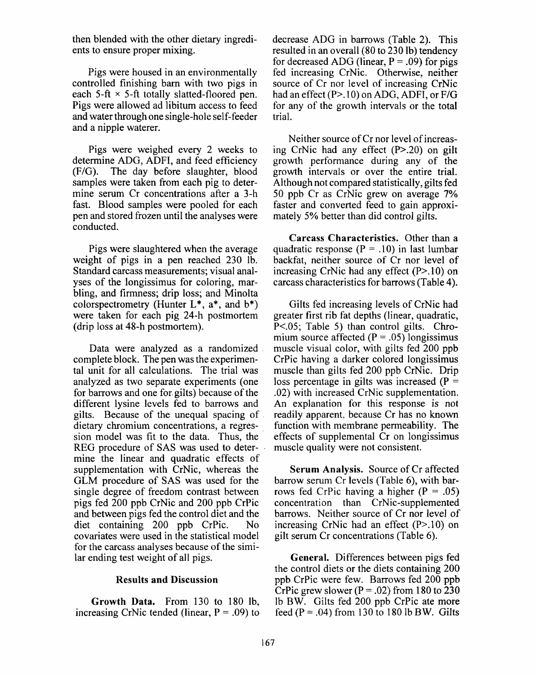then blended with the other dietary ingredients to ensure proper mixing.

Pigs were housed in an environmentally controlled finishing barn with two pigs in each  $5$ -ft  $\times$  5-ft totally slatted-floored pen. Pigs were allowed ad libitum access to feed and water through one single-hole self-feeder and a nipple waterer.

Pigs were weighed every 2 weeks to determine ADG, ADFI, and feed efficiency (F/G). The day before slaughter, blood samples were taken from each pig to determine serum Cr concentrations after a 3-h fast. Blood samples were pooled for each pen and stored frozen until the analyses were conducted.

Pigs were slaughtered when the average weight of pigs in a pen reached 230 lb. Standard carcass measurements; visual analyses of the longissimus for coloring, marbling, and firmness; drip loss; and Minolta colorspectrometry (Hunter  $L^*$ ,  $a^*$ , and  $b^*$ ) were taken for each pig 24-h postmortem (drip loss at 48-h postmortem).

Data were analyzed as a randomized complete block. The pen was the experimental unit for all calculations. The trial was analyzed as two separate experiments (one for barrows and one for gilts) because of the different lysine levels fed to barrows and gilts. Because of the unequal spacing of dietary chromium concentrations, a regression model was fit to the data. Thus, the REG procedure of SAS was used to determine the linear and quadratic effects of supplementation with CrNic, whereas the GLM procedure of SAS was used for the single degree of freedom contrast between pigs fed 200 ppb CrNic and 200 ppb CrPic and between pigs fed the control diet and the diet containing 200 ppb CrPic. N<sub>0</sub> covariates were used in the statistical model for the carcass analyses because of the similar ending test weight of all pigs.

#### **Results and Discussion**

Growth Data. From 130 to 180 lb. increasing CrNic tended (linear,  $P = .09$ ) to decrease ADG in barrows (Table 2). This resulted in an overall (80 to 230 lb) tendency for decreased ADG (linear,  $P = .09$ ) for pigs fed increasing CrNic. Otherwise, neither source of Cr nor level of increasing CrNic had an effect (P>.10) on ADG, ADFI, or F/G for any of the growth intervals or the total trial.

Neither source of Cr nor level of increasing CrNic had any effect (P>.20) on gilt growth performance during any of the growth intervals or over the entire trial. Although not compared statistically, gilts fed 50 ppb Cr as CrNic grew on average 7% faster and converted feed to gain approximately 5% better than did control gilts.

Carcass Characteristics. Other than a quadratic response ( $P = .10$ ) in last lumbar backfat, neither source of Cr nor level of increasing CrNic had any effect  $(P>10)$  on carcass characteristics for barrows (Table 4).

Gilts fed increasing levels of CrNic had greater first rib fat depths (linear, quadratic, P<.05; Table 5) than control gilts. Chromium source affected ( $P = .05$ ) longissimus muscle visual color, with gilts fed 200 ppb CrPic having a darker colored longissimus muscle than gilts fed 200 ppb CrNic. Drip loss percentage in gilts was increased ( $P =$ .02) with increased CrNic supplementation. An explanation for this response is not readily apparent, because Cr has no known function with membrane permeability. The effects of supplemental Cr on longissimus muscle quality were not consistent.

Serum Analysis. Source of Cr affected barrow serum Cr levels (Table 6), with barrows fed CrPic having a higher ( $P = .05$ ) concentration than CrNic-supplemented barrows. Neither source of Cr nor level of increasing CrNic had an effect  $(P>10)$  on gilt serum Cr concentrations (Table 6).

General. Differences between pigs fed the control diets or the diets containing 200 ppb CrPic were few. Barrows fed 200 ppb CrPic grew slower ( $P = .02$ ) from 180 to 230 lb BW. Gilts fed 200 ppb CrPic ate more feed  $(P = .04)$  from 130 to 180 lb BW. Gilts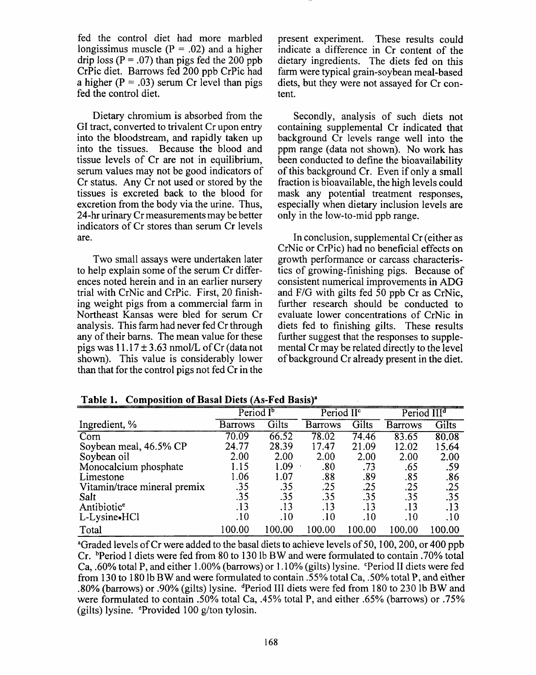fed the control diet had more marbled longissimus muscle ( $P = .02$ ) and a higher drip loss ( $P = .07$ ) than pigs fed the 200 ppb CrPic diet. Barrows fed 200 ppb CrPic had a higher  $(P = .03)$  serum Cr level than pigs fed the control diet.

Dietary chromium is absorbed from the GI tract, converted to trivalent Cr upon entry into the bloodstream, and rapidly taken up into the tissues. Because the blood and tissue levels of Cr are not in equilibrium. serum values may not be good indicators of Cr status. Any Cr not used or stored by the tissues is excreted back to the blood for excretion from the body via the urine. Thus, 24-hr urinary Cr measurements may be better indicators of Cr stores than serum Cr levels are.

Two small assays were undertaken later to help explain some of the serum Cr differences noted herein and in an earlier nursery trial with CrNic and CrPic. First, 20 finishing weight pigs from a commercial farm in Northeast Kansas were bled for serum Cr analysis. This farm had never fed Cr through any of their barns. The mean value for these pigs was  $11.17 \pm 3.63$  nmol/L of Cr (data not shown). This value is considerably lower than that for the control pigs not fed Cr in the present experiment. These results could indicate a difference in Cr content of the dietary ingredients. The diets fed on this farm were typical grain-soybean meal-based diets, but they were not assayed for Cr content.

Secondly, analysis of such diets not containing supplemental Cr indicated that background Cr levels range well into the ppm range (data not shown). No work has been conducted to define the bioavailability of this background Cr. Even if only a small fraction is bioavailable, the high levels could mask any potential treatment responses. especially when dietary inclusion levels are only in the low-to-mid ppb range.

In conclusion, supplemental Cr (either as CrNic or CrPic) had no beneficial effects on growth performance or carcass characteristics of growing-finishing pigs. Because of consistent numerical improvements in ADG and F/G with gilts fed 50 ppb Cr as CrNic, further research should be conducted to evaluate lower concentrations of CrNic in diets fed to finishing gilts. These results further suggest that the responses to supplemental Cr may be related directly to the level of background Cr already present in the diet.

|                              | Period I <sup>b</sup> |       | Period II <sup>c</sup> |       | Period III <sup>d</sup> |        |
|------------------------------|-----------------------|-------|------------------------|-------|-------------------------|--------|
| Ingredient, %                | <b>Barrows</b>        | Gilts | Barrows                | Gilts | Barrows                 | Gilts  |
| Corn                         | 70.09                 | 66.52 | 78.02                  | 74.46 | 83.65                   | 80.08  |
| Soybean meal, 46.5% CP       | 24.77                 | 28.39 | 17.47                  | 21.09 | 12.02                   | 15.64  |
| Soybean oil                  | 2.00                  | 2.00  | 2.00                   | 2.00  | 2.00                    | 2.00   |
| Monocalcium phosphate        | 1.15                  | 1.09  | .80                    | .73   | .65                     | .59    |
| Limestone                    | 1.06                  | 1.07  | .88                    | .89   | .85                     | .86    |
| Vitamin/trace mineral premix | .35                   | .35   | .25                    | .25   | .25                     | .25    |
| Salt                         | .35                   | .35   | .35                    | .35   | .35                     | .35    |
| Antibiotic <sup>e</sup>      | .13                   | .13   | .13                    | .13   | .13                     | .13    |
| L-Lysine•HCl                 | .10                   | .10   | .10                    | .10   | .10                     | .10    |
| Total                        | 100.00                | 00.00 | 100.00                 | 00.00 | 100.00                  | 100.00 |

Table 1. Composition of Basal Diets (As-Fed Basis)<sup>a</sup>

<sup>a</sup>Graded levels of Cr were added to the basal diets to achieve levels of 50, 100, 200, or 400 ppb Cr. <sup>b</sup>Period I diets were fed from 80 to 130 lb BW and were formulated to contain .70% total Ca, .60% total P, and either 1.00% (barrows) or 1.10% (gilts) lysine. "Period II diets were fed from 130 to 180 lb BW and were formulated to contain .55% total Ca, .50% total P, and either .80% (barrows) or .90% (gilts) lysine. <sup>4</sup>Period III diets were fed from 180 to 230 lb BW and were formulated to contain .50% total Ca, .45% total P, and either .65% (barrows) or .75% (gilts) lysine.  $e^{\epsilon}$ Provided 100 g/ton tylosin.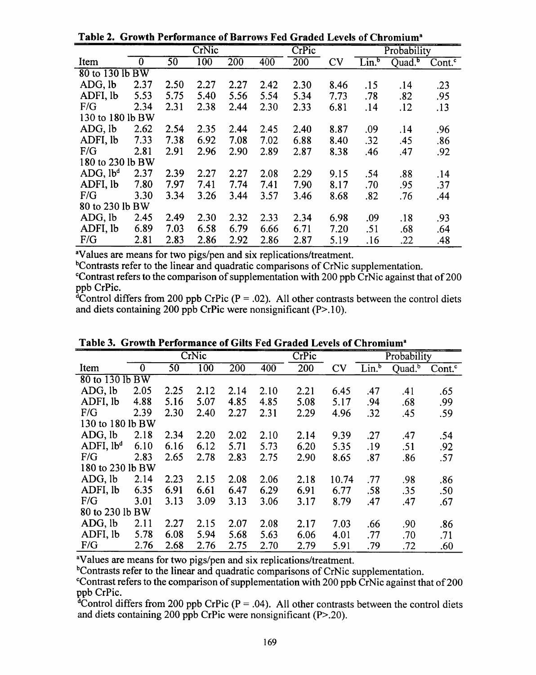|                      |                |                 | CrNic            |      |      | CrPic |      |                   | Probability        |                      |
|----------------------|----------------|-----------------|------------------|------|------|-------|------|-------------------|--------------------|----------------------|
| Item                 | $\overline{0}$ | $\overline{50}$ | $\overline{100}$ | 200  | 400  | 200   | CV   | Lin. <sup>b</sup> | Quad. <sup>b</sup> | $Cont.$ <sup>c</sup> |
| 80 to 130 lb BW      |                |                 |                  |      |      |       |      |                   |                    |                      |
| $ADG.$ lb            | 2.37           | 2.50            | 2.27             | 2.27 | 2.42 | 2.30  | 8.46 | .15               | .14                | .23                  |
| ADFI, lb             | 5.53           | 5.75            | 5.40             | 5.56 | 5.54 | 5.34  | 7.73 | .78               | .82                | .95                  |
| F/G                  | 2.34           | 2.31            | 2.38             | 2.44 | 2.30 | 2.33  | 6.81 | .14               | .12                | .13                  |
| 130 to 180 lb BW     |                |                 |                  |      |      |       |      |                   |                    |                      |
| ADG, lb              | 2.62           | 2.54            | 2.35             | 2.44 | 2.45 | 2.40  | 8.87 | .09               | .14                | .96                  |
| ADFI, lb             | 7.33           | 7.38            | 6.92             | 7.08 | 7.02 | 6.88  | 8.40 | .32               | .45                | .86                  |
| F/G                  | 2.81           | 2.91            | 2.96             | 2.90 | 2.89 | 2.87  | 8.38 | .46               | .47                | .92                  |
| 180 to 230 lb BW     |                |                 |                  |      |      |       |      |                   |                    |                      |
| ADG, lb <sup>d</sup> | 2.37           | 2.39            | 2.27             | 2.27 | 2.08 | 2.29  | 9.15 | .54               | .88                | .14                  |
| ADFI, lb             | 7.80           | 7.97            | 7.41             | 7.74 | 7.41 | 7.90  | 8.17 | .70               | .95                | .37                  |
| F/G                  | 3.30           | 3.34            | 3.26             | 3.44 | 3.57 | 3.46  | 8.68 | .82               | .76                | .44                  |
| 80 to 230 lb BW      |                |                 |                  |      |      |       |      |                   |                    |                      |
| ADG, lb              | 2.45           | 2.49            | 2.30             | 2.32 | 2.33 | 2.34  | 6.98 | .09               | .18                | .93                  |
| ADFI, lb             | 6.89           | 7.03            | 6.58             | 6.79 | 6.66 | 6.71  | 7.20 | .51               | .68                | .64                  |
| F/G                  | 2.81           | 2.83            | 2.86             | 2.92 | 2.86 | 2.87  | 5.19 | .16               | .22                | .48                  |

Table 2. Growth Performance of Barrows Fed Graded Levels of Chromium<sup>a</sup>

<sup>a</sup>Values are means for two pigs/pen and six replications/treatment.

<sup>b</sup>Contrasts refer to the linear and quadratic comparisons of CrNic supplementation. Contrast refers to the comparison of supplementation with 200 ppb CrNic against that of 200 ppb CrPic.

<sup>4</sup>Control differs from 200 ppb CrPic ( $P = .02$ ). All other contrasts between the control diets and diets containing 200 ppb CrPic were nonsignificant  $(P>10)$ .

|                       |                |      | CrNic            |                  |                  | CrPic |       | Probability       |                    |                    |  |  |
|-----------------------|----------------|------|------------------|------------------|------------------|-------|-------|-------------------|--------------------|--------------------|--|--|
| Item                  | $\overline{0}$ | 50   | $\overline{100}$ | $\overline{200}$ | $40\overline{0}$ | 200   | CV    | Lin. <sup>b</sup> | Quad. <sup>b</sup> | Cont. <sup>c</sup> |  |  |
| 80 to 130 lb BW       |                |      |                  |                  |                  |       |       |                   |                    |                    |  |  |
| ADG, lb               | 2.05           | 2.25 | 2.12             | 2.14             | 2.10             | 2.21  | 6.45  | .47               | .41                | .65                |  |  |
| ADFI, lb              | 4.88           | 5.16 | 5.07             | 4.85             | 4.85             | 5.08  | 5.17  | .94               | .68                | .99                |  |  |
| F/G                   | 2.39           | 2.30 | 2.40             | 2.27             | 2.31             | 2.29  | 4.96  | .32               | .45                | .59                |  |  |
| 130 to 180 lb BW      |                |      |                  |                  |                  |       |       |                   |                    |                    |  |  |
| ADG, lb               | 2.18           | 2.34 | 2.20             | 2.02             | 2.10             | 2.14  | 9.39  | .27               | .47                | .54                |  |  |
| ADFI, lb <sup>d</sup> | 6.10           | 6.16 | 6.12             | 5.71             | 5.73             | 6.20  | 5.35  | .19               | .51                | .92                |  |  |
| F/G                   | 2.83           | 2.65 | 2.78             | 2.83             | 2.75             | 2.90  | 8.65  | .87               | .86                | .57                |  |  |
| 180 to 230 lb BW      |                |      |                  |                  |                  |       |       |                   |                    |                    |  |  |
| ADG, lb               | 2.14           | 2.23 | 2.15             | 2.08             | 2.06             | 2.18  | 10.74 | .77               | .98                | .86                |  |  |
| ADFI, lb              | 6.35           | 6.91 | 6.61             | 6.47             | 6.29             | 6.91  | 6.77  | .58               | .35                | .50                |  |  |
| F/G                   | 3.01           | 3.13 | 3.09             | 3.13             | 3.06             | 3.17  | 8.79  | .47               | .47                | .67                |  |  |
| 80 to 230 lb BW       |                |      |                  |                  |                  |       |       |                   |                    |                    |  |  |
| ADG, lb               | 2.11           | 2.27 | 2.15             | 2.07             | 2.08             | 2.17  | 7.03  | .66               | .90                | .86                |  |  |
| ADFI, lb              | 5.78           | 6.08 | 5.94             | 5.68             | 5.63             | 6.06  | 4.01  | .77               | .70                | .71                |  |  |
| F/G                   | 2.76           | 2.68 | 2.76             | 2.75             | 2.70             | 2.79  | 5.91  | .79               | .72                | .60                |  |  |

Table 3. Growth Performance of Gilts Fed Graded Levels of Chromium<sup>a</sup>

<sup>a</sup>Values are means for two pigs/pen and six replications/treatment.

<sup>b</sup>Contrasts refer to the linear and quadratic comparisons of CrNic supplementation.

<sup>c</sup>Contrast refers to the comparison of supplementation with 200 ppb CrNic against that of 200 ppb CrPic.

<sup>d</sup>Control differs from 200 ppb CrPic ( $P = .04$ ). All other contrasts between the control diets and diets containing 200 ppb CrPic were nonsignificant  $(P> 0.20)$ .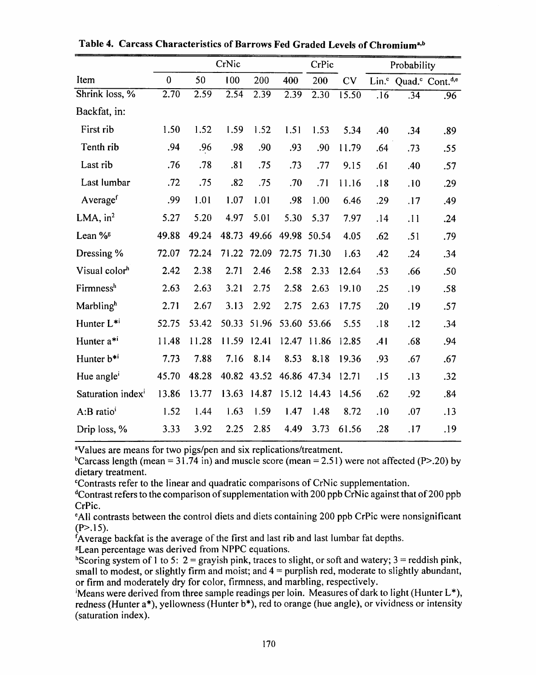|                               | CrNic             |       |       |             |       | CrPic       |       | Probability |     |                                                           |
|-------------------------------|-------------------|-------|-------|-------------|-------|-------------|-------|-------------|-----|-----------------------------------------------------------|
| Item                          | $\mathbf 0$       | 50    | 100   | 200         | 400   | 200         | CV    |             |     | Lin. <sup>c</sup> Quad. <sup>c</sup> Cont. <sup>d,e</sup> |
| Shrink loss, %                | $\overline{2.70}$ | 2.59  | 2.54  | 2.39        | 2.39  | 2.30        | 15.50 | .16         | .34 | .96                                                       |
| Backfat, in:                  |                   |       |       |             |       |             |       |             |     |                                                           |
| First rib                     | 1.50              | 1.52  | 1.59  | 1.52        | 1.51  | 1.53        | 5.34  | .40         | .34 | .89                                                       |
| Tenth rib                     | .94               | .96   | .98   | .90         | .93   | .90         | 11.79 | .64         | .73 | .55                                                       |
| Last rib                      | .76               | .78   | .81   | .75         | .73   | .77         | 9.15  | .61         | .40 | .57                                                       |
| Last lumbar                   | .72               | .75   | .82   | .75         | .70   | .71         | 11.16 | .18         | .10 | .29                                                       |
| Average <sup>f</sup>          | .99               | 1.01  | 1.07  | 1.01        | .98   | 1.00        | 6.46  | .29         | .17 | .49                                                       |
| LMA, $in2$                    | 5.27              | 5.20  | 4.97  | 5.01        | 5.30  | 5.37        | 7.97  | .14         | .11 | .24                                                       |
| Lean % <sup>g</sup>           | 49.88             | 49.24 | 48.73 | 49.66       |       | 49.98 50.54 | 4.05  | .62         | .51 | .79                                                       |
| Dressing %                    | 72.07             | 72.24 | 71.22 | 72.09       | 72.75 | 71.30       | 1.63  | .42         | .24 | .34                                                       |
| Visual color <sup>h</sup>     | 2.42              | 2.38  | 2.71  | 2.46        | 2.58  | 2.33        | 12.64 | .53         | .66 | .50                                                       |
| Firmness <sup>h</sup>         | 2.63              | 2.63  | 3.21  | 2.75        | 2.58  | 2.63        | 19.10 | .25         | .19 | .58                                                       |
| Marblingh                     | 2.71              | 2.67  | 3.13  | 2.92        | 2.75  | 2.63        | 17.75 | .20         | .19 | .57                                                       |
| Hunter L <sup>*i</sup>        | 52.75             | 53.42 | 50.33 | 51.96       | 53.60 | 53.66       | 5.55  | .18         | .12 | .34                                                       |
| Hunter a*i                    | 11.48             | 11.28 | 11.59 | 12.41       | 12.47 | 11.86       | 12.85 | .41         | .68 | .94                                                       |
| Hunter b <sup>*i</sup>        | 7.73              | 7.88  | 7.16  | 8.14        | 8.53  | 8.18        | 19.36 | .93         | .67 | .67                                                       |
| Hue angle <sup>i</sup>        | 45.70             | 48.28 |       | 40.82 43.52 |       | 46.86 47.34 | 12.71 | .15         | .13 | .32                                                       |
| Saturation index <sup>i</sup> | 13.86             | 13.77 | 13.63 | 14.87       | 15.12 | 14.43       | 14.56 | .62         | .92 | .84                                                       |
| A:B ratio <sup>i</sup>        | 1.52              | 1.44  | 1.63  | 1.59        | 1.47  | 1.48        | 8.72  | .10         | .07 | .13                                                       |
| Drip loss, %                  | 3.33              | 3.92  | 2.25  | 2.85        | 4.49  | 3.73        | 61.56 | .28         | .17 | .19                                                       |

Table 4. Carcass Characteristics of Barrows Fed Graded Levels of Chromium<sup>a,b</sup>

<sup>a</sup>Values are means for two pigs/pen and six replications/treatment.

<sup>b</sup>Carcass length (mean = 31.74 in) and muscle score (mean = 2.51) were not affected (P>.20) by dietary treatment.

<sup>c</sup>Contrasts refer to the linear and quadratic comparisons of CrNic supplementation.

<sup>d</sup>Contrast refers to the comparison of supplementation with 200 ppb CrNic against that of 200 ppb CrPic.

<sup>e</sup>All contrasts between the control diets and diets containing 200 ppb CrPic were nonsignificant  $(P > .15)$ .

Average backfat is the average of the first and last rib and last lumbar fat depths.

<sup>g</sup>Lean percentage was derived from NPPC equations.

<sup>h</sup>Scoring system of 1 to 5: 2 = grayish pink, traces to slight, or soft and watery; 3 = reddish pink, small to modest, or slightly firm and moist; and  $4 =$  purplish red, moderate to slightly abundant, or firm and moderately dry for color, firmness, and marbling, respectively.

Means were derived from three sample readings per loin. Measures of dark to light (Hunter  $L^*$ ), redness (Hunter a\*), yellowness (Hunter b\*), red to orange (hue angle), or vividness or intensity (saturation index).